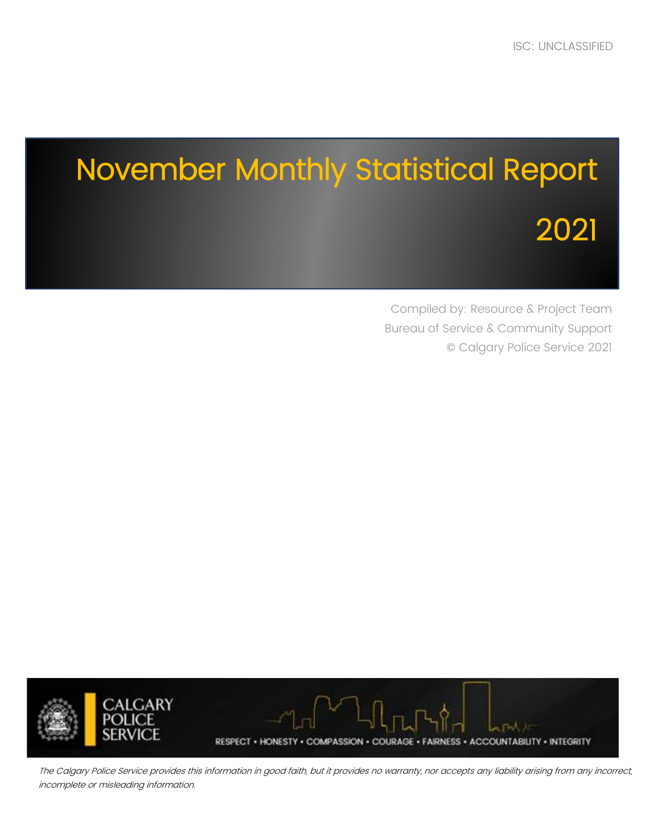# November Monthly Statistical Report 2021

Compiled by: Resource & Project Team Bureau of Service & Community Support © Calgary Police Service 2021



The Calgary Police Service provides this information in good faith, but it provides no warranty, nor accepts any liability arising from any incorrect, incomplete or misleading information.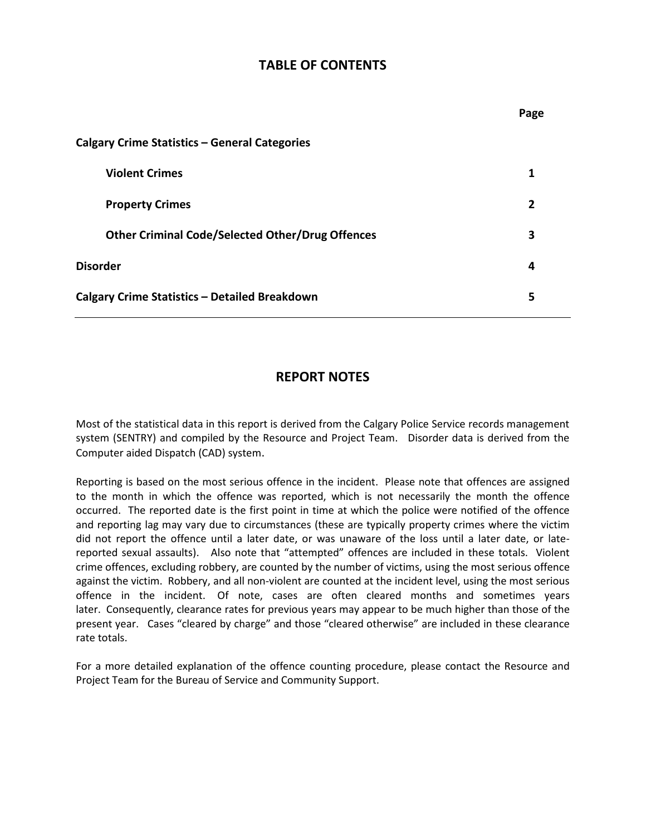#### **TABLE OF CONTENTS**

|                                                         | Page           |
|---------------------------------------------------------|----------------|
| Calgary Crime Statistics - General Categories           |                |
| <b>Violent Crimes</b>                                   | 1              |
| <b>Property Crimes</b>                                  | $\overline{2}$ |
| <b>Other Criminal Code/Selected Other/Drug Offences</b> | 3              |
| <b>Disorder</b>                                         | 4              |
| <b>Calgary Crime Statistics - Detailed Breakdown</b>    | 5              |

### **REPORT NOTES**

Most of the statistical data in this report is derived from the Calgary Police Service records management system (SENTRY) and compiled by the Resource and Project Team. Disorder data is derived from the Computer aided Dispatch (CAD) system.

Reporting is based on the most serious offence in the incident. Please note that offences are assigned to the month in which the offence was reported, which is not necessarily the month the offence occurred. The reported date is the first point in time at which the police were notified of the offence and reporting lag may vary due to circumstances (these are typically property crimes where the victim did not report the offence until a later date, or was unaware of the loss until a later date, or latereported sexual assaults). Also note that "attempted" offences are included in these totals. Violent crime offences, excluding robbery, are counted by the number of victims, using the most serious offence against the victim. Robbery, and all non-violent are counted at the incident level, using the most serious offence in the incident. Of note, cases are often cleared months and sometimes years later. Consequently, clearance rates for previous years may appear to be much higher than those of the present year. Cases "cleared by charge" and those "cleared otherwise" are included in these clearance rate totals.

For a more detailed explanation of the offence counting procedure, please contact the Resource and Project Team for the Bureau of Service and Community Support.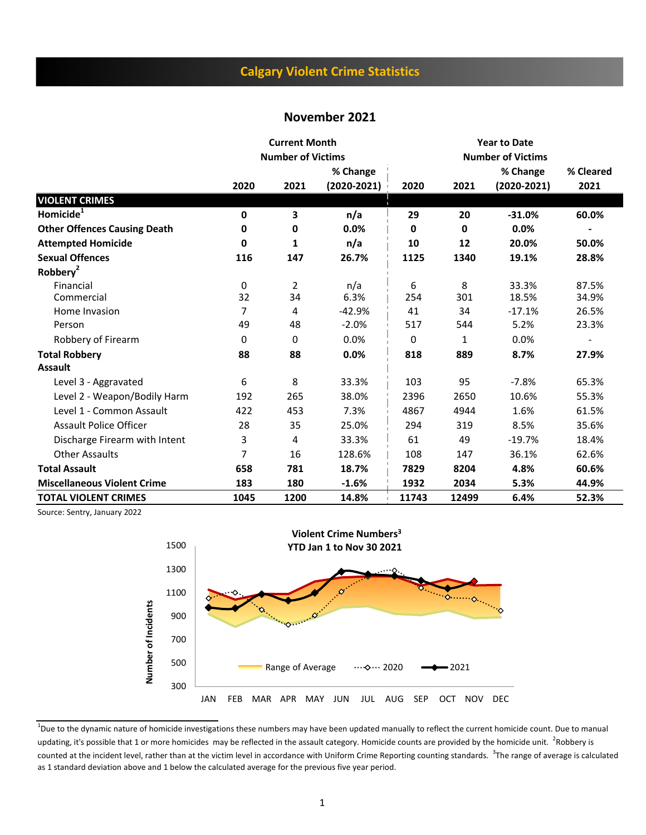## **Calgary Violent Crime Statistics**

#### **November 2021**

|                                     |      | <b>Current Month</b>     |               |       |       | <b>Year to Date</b>      |           |
|-------------------------------------|------|--------------------------|---------------|-------|-------|--------------------------|-----------|
|                                     |      | <b>Number of Victims</b> |               |       |       | <b>Number of Victims</b> |           |
|                                     |      |                          | % Change      |       |       | % Change                 | % Cleared |
|                                     | 2020 | 2021                     | $(2020-2021)$ | 2020  | 2021  | $(2020-2021)$            | 2021      |
| <b>VIOLENT CRIMES</b>               |      |                          |               |       |       |                          |           |
| Homicide <sup>1</sup>               | 0    | 3                        | n/a           | 29    | 20    | $-31.0%$                 | 60.0%     |
| <b>Other Offences Causing Death</b> | 0    | 0                        | 0.0%          | 0     | 0     | 0.0%                     |           |
| <b>Attempted Homicide</b>           | 0    | 1                        | n/a           | 10    | 12    | 20.0%                    | 50.0%     |
| <b>Sexual Offences</b>              | 116  | 147                      | 26.7%         | 1125  | 1340  | 19.1%                    | 28.8%     |
| Robbery <sup>2</sup>                |      |                          |               |       |       |                          |           |
| Financial                           | 0    | $\overline{2}$           | n/a           | 6     | 8     | 33.3%                    | 87.5%     |
| Commercial                          | 32   | 34                       | 6.3%          | 254   | 301   | 18.5%                    | 34.9%     |
| Home Invasion                       | 7    | 4                        | $-42.9%$      | 41    | 34    | $-17.1%$                 | 26.5%     |
| Person                              | 49   | 48                       | $-2.0%$       | 517   | 544   | 5.2%                     | 23.3%     |
| Robbery of Firearm                  | 0    | 0                        | 0.0%          | 0     | 1     | 0.0%                     |           |
| <b>Total Robbery</b>                | 88   | 88                       | 0.0%          | 818   | 889   | 8.7%                     | 27.9%     |
| <b>Assault</b>                      |      |                          |               |       |       |                          |           |
| Level 3 - Aggravated                | 6    | 8                        | 33.3%         | 103   | 95    | $-7.8%$                  | 65.3%     |
| Level 2 - Weapon/Bodily Harm        | 192  | 265                      | 38.0%         | 2396  | 2650  | 10.6%                    | 55.3%     |
| Level 1 - Common Assault            | 422  | 453                      | 7.3%          | 4867  | 4944  | 1.6%                     | 61.5%     |
| <b>Assault Police Officer</b>       | 28   | 35                       | 25.0%         | 294   | 319   | 8.5%                     | 35.6%     |
| Discharge Firearm with Intent       | 3    | 4                        | 33.3%         | 61    | 49    | $-19.7%$                 | 18.4%     |
| <b>Other Assaults</b>               | 7    | 16                       | 128.6%        | 108   | 147   | 36.1%                    | 62.6%     |
| <b>Total Assault</b>                | 658  | 781                      | 18.7%         | 7829  | 8204  | 4.8%                     | 60.6%     |
| <b>Miscellaneous Violent Crime</b>  | 183  | 180                      | $-1.6%$       | 1932  | 2034  | 5.3%                     | 44.9%     |
| <b>TOTAL VIOLENT CRIMES</b>         | 1045 | 1200                     | 14.8%         | 11743 | 12499 | 6.4%                     | 52.3%     |

Source: Sentry, January 2022



<sup>&</sup>lt;sup>1</sup>Due to the dynamic nature of homicide investigations these numbers may have been updated manually to reflect the current homicide count. Due to manual updating, it's possible that 1 or more homicides may be reflected in the assault category. Homicide counts are provided by the homicide unit. <sup>2</sup>Robbery is counted at the incident level, rather than at the victim level in accordance with Uniform Crime Reporting counting standards. <sup>3</sup>The range of average is calculated as 1 standard deviation above and 1 below the calculated average for the previous five year period.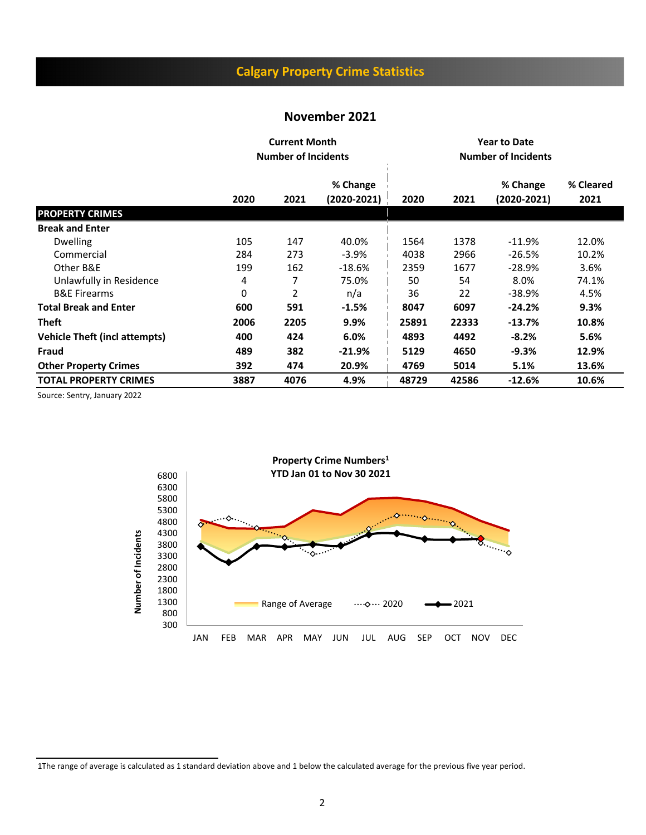## **Calgary Property Crime Statistics**

#### **November 2021**

|                               |      | <b>Current Month</b><br><b>Number of Incidents</b> |                             |       |       |                         |                   |
|-------------------------------|------|----------------------------------------------------|-----------------------------|-------|-------|-------------------------|-------------------|
|                               | 2020 | 2021                                               | % Change<br>$(2020 - 2021)$ | 2020  | 2021  | % Change<br>(2020-2021) | % Cleared<br>2021 |
| <b>PROPERTY CRIMES</b>        |      |                                                    |                             |       |       |                         |                   |
| <b>Break and Enter</b>        |      |                                                    |                             |       |       |                         |                   |
| <b>Dwelling</b>               | 105  | 147                                                | 40.0%                       | 1564  | 1378  | $-11.9%$                | 12.0%             |
| Commercial                    | 284  | 273                                                | $-3.9%$                     | 4038  | 2966  | -26.5%                  | 10.2%             |
| Other B&E                     | 199  | 162                                                | $-18.6%$                    | 2359  | 1677  | -28.9%                  | 3.6%              |
| Unlawfully in Residence       | 4    | 7                                                  | 75.0%                       | 50    | 54    | 8.0%                    | 74.1%             |
| <b>B&amp;E Firearms</b>       | 0    | 2                                                  | n/a                         | 36    | 22    | -38.9%                  | 4.5%              |
| <b>Total Break and Enter</b>  | 600  | 591                                                | $-1.5%$                     | 8047  | 6097  | $-24.2%$                | 9.3%              |
| <b>Theft</b>                  | 2006 | 2205                                               | 9.9%                        | 25891 | 22333 | $-13.7%$                | 10.8%             |
| Vehicle Theft (incl attempts) | 400  | 424                                                | 6.0%                        | 4893  | 4492  | $-8.2%$                 | 5.6%              |
| Fraud                         | 489  | 382                                                | $-21.9%$                    | 5129  | 4650  | $-9.3%$                 | 12.9%             |
| <b>Other Property Crimes</b>  | 392  | 474                                                | 20.9%                       | 4769  | 5014  | 5.1%                    | 13.6%             |
| <b>TOTAL PROPERTY CRIMES</b>  | 3887 | 4076                                               | 4.9%                        | 48729 | 42586 | $-12.6%$                | 10.6%             |

Source: Sentry, January 2022



1The range of average is calculated as 1 standard deviation above and 1 below the calculated average for the previous five year period.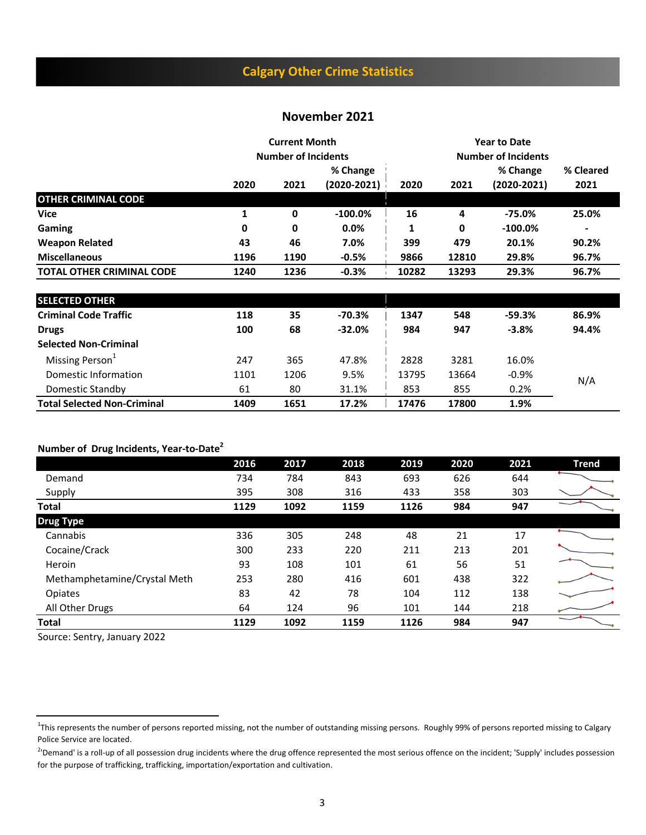## **Calgary Other Crime Statistics**

#### **November 2021**

|                                  |      | <b>Current Month</b><br><b>Number of Incidents</b> |                             | <b>Year to Date</b><br><b>Number of Incidents</b> |       |                           |                   |  |
|----------------------------------|------|----------------------------------------------------|-----------------------------|---------------------------------------------------|-------|---------------------------|-------------------|--|
|                                  | 2020 | 2021                                               | % Change<br>$(2020 - 2021)$ | 2020                                              | 2021  | % Change<br>$(2020-2021)$ | % Cleared<br>2021 |  |
| <b>OTHER CRIMINAL CODE</b>       |      |                                                    |                             |                                                   |       |                           |                   |  |
| <b>Vice</b>                      |      | 0                                                  | $-100.0\%$                  | 16                                                | 4     | $-75.0\%$                 | 25.0%             |  |
| Gaming                           | 0    | 0                                                  | $0.0\%$                     | 1                                                 | 0     | $-100.0\%$                | ٠                 |  |
| <b>Weapon Related</b>            | 43   | 46                                                 | 7.0%                        | 399                                               | 479   | 20.1%                     | 90.2%             |  |
| <b>Miscellaneous</b>             | 1196 | 1190                                               | $-0.5%$                     | 9866                                              | 12810 | 29.8%                     | 96.7%             |  |
| <b>TOTAL OTHER CRIMINAL CODE</b> | 1240 | 1236                                               | $-0.3%$                     | 10282                                             | 13293 | 29.3%                     | 96.7%             |  |

| <b>SELECTED OTHER</b>              |      |      |          |       |       |         |       |
|------------------------------------|------|------|----------|-------|-------|---------|-------|
| <b>Criminal Code Traffic</b>       | 118  | 35   | $-70.3%$ | 1347  | 548   | -59.3%  | 86.9% |
| <b>Drugs</b>                       | 100  | 68   | $-32.0%$ | 984   | 947   | $-3.8%$ | 94.4% |
| <b>Selected Non-Criminal</b>       |      |      |          |       |       |         |       |
| Missing Person <sup>1</sup>        | 247  | 365  | 47.8%    | 2828  | 3281  | 16.0%   |       |
| Domestic Information               | 1101 | 1206 | 9.5%     | 13795 | 13664 | $-0.9%$ | N/A   |
| Domestic Standby                   | 61   | 80   | 31.1%    | 853   | 855   | 0.2%    |       |
| <b>Total Selected Non-Criminal</b> | 1409 | 1651 | 17.2%    | 17476 | 17800 | 1.9%    |       |

#### **Number of Drug Incidents, Year-to-Date2**

|                              | 2016 | 2017 | 2018 | 2019 | 2020 | 2021 | <b>Trend</b> |
|------------------------------|------|------|------|------|------|------|--------------|
| Demand                       | 734  | 784  | 843  | 693  | 626  | 644  |              |
| Supply                       | 395  | 308  | 316  | 433  | 358  | 303  |              |
| <b>Total</b>                 | 1129 | 1092 | 1159 | 1126 | 984  | 947  |              |
| <b>Drug Type</b>             |      |      |      |      |      |      |              |
| Cannabis                     | 336  | 305  | 248  | 48   | 21   | 17   |              |
| Cocaine/Crack                | 300  | 233  | 220  | 211  | 213  | 201  |              |
| Heroin                       | 93   | 108  | 101  | 61   | 56   | 51   |              |
| Methamphetamine/Crystal Meth | 253  | 280  | 416  | 601  | 438  | 322  |              |
| Opiates                      | 83   | 42   | 78   | 104  | 112  | 138  |              |
| All Other Drugs              | 64   | 124  | 96   | 101  | 144  | 218  |              |
| <b>Total</b>                 | 1129 | 1092 | 1159 | 1126 | 984  | 947  |              |

Source: Sentry, January 2022

<sup>&</sup>lt;sup>1</sup>This represents the number of persons reported missing, not the number of outstanding missing persons. Roughly 99% of persons reported missing to Calgary Police Service are located.

<sup>&</sup>lt;sup>2</sup>'Demand' is a roll-up of all possession drug incidents where the drug offence represented the most serious offence on the incident; 'Supply' includes possession for the purpose of trafficking, trafficking, importation/exportation and cultivation.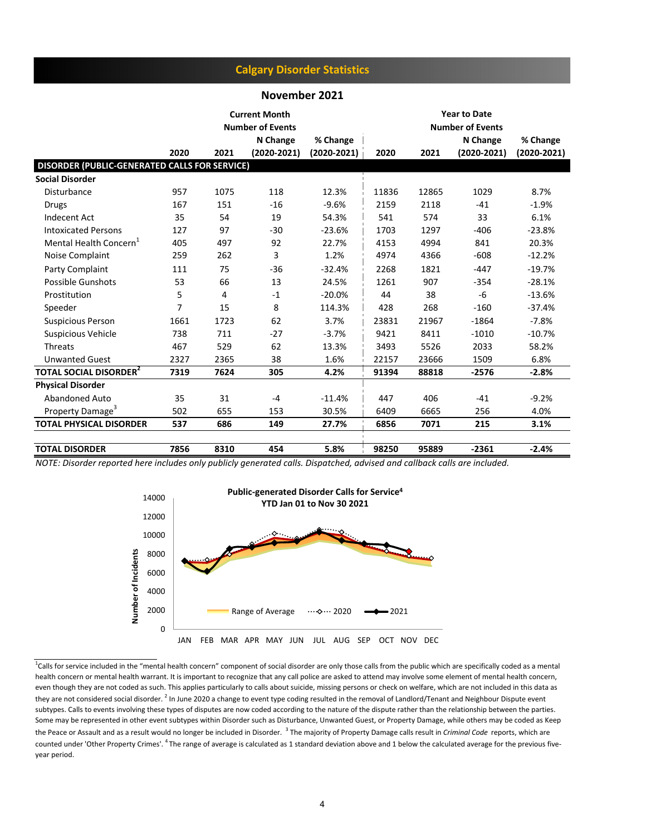#### **Calgary Disorder Statistics**

#### **November 2021**

|                                               |      |      | <b>Current Month</b><br><b>Number of Events</b> |                 | <b>Year to Date</b><br><b>Number of Events</b> |       |                 |                 |
|-----------------------------------------------|------|------|-------------------------------------------------|-----------------|------------------------------------------------|-------|-----------------|-----------------|
|                                               |      |      | N Change                                        | % Change        |                                                |       | N Change        | % Change        |
|                                               | 2020 | 2021 | $(2020 - 2021)$                                 | $(2020 - 2021)$ | 2020                                           | 2021  | $(2020 - 2021)$ | $(2020 - 2021)$ |
| DISORDER (PUBLIC-GENERATED CALLS FOR SERVICE) |      |      |                                                 |                 |                                                |       |                 |                 |
| <b>Social Disorder</b>                        |      |      |                                                 |                 |                                                |       |                 |                 |
| Disturbance                                   | 957  | 1075 | 118                                             | 12.3%           | 11836                                          | 12865 | 1029            | 8.7%            |
| <b>Drugs</b>                                  | 167  | 151  | $-16$                                           | $-9.6%$         | 2159                                           | 2118  | $-41$           | $-1.9%$         |
| <b>Indecent Act</b>                           | 35   | 54   | 19                                              | 54.3%           | 541                                            | 574   | 33              | 6.1%            |
| <b>Intoxicated Persons</b>                    | 127  | 97   | $-30$                                           | $-23.6%$        | 1703                                           | 1297  | $-406$          | $-23.8%$        |
| Mental Health Concern <sup>+</sup>            | 405  | 497  | 92                                              | 22.7%           | 4153                                           | 4994  | 841             | 20.3%           |
| Noise Complaint                               | 259  | 262  | 3                                               | 1.2%            | 4974                                           | 4366  | $-608$          | $-12.2%$        |
| Party Complaint                               | 111  | 75   | $-36$                                           | $-32.4%$        | 2268                                           | 1821  | $-447$          | $-19.7%$        |
| Possible Gunshots                             | 53   | 66   | 13                                              | 24.5%           | 1261                                           | 907   | $-354$          | $-28.1%$        |
| Prostitution                                  | 5    | 4    | $-1$                                            | $-20.0%$        | 44                                             | 38    | -6              | $-13.6%$        |
| Speeder                                       | 7    | 15   | 8                                               | 114.3%          | 428                                            | 268   | $-160$          | $-37.4%$        |
| <b>Suspicious Person</b>                      | 1661 | 1723 | 62                                              | 3.7%            | 23831                                          | 21967 | $-1864$         | $-7.8%$         |
| Suspicious Vehicle                            | 738  | 711  | $-27$                                           | $-3.7%$         | 9421                                           | 8411  | $-1010$         | $-10.7%$        |
| Threats                                       | 467  | 529  | 62                                              | 13.3%           | 3493                                           | 5526  | 2033            | 58.2%           |
| <b>Unwanted Guest</b>                         | 2327 | 2365 | 38                                              | 1.6%            | 22157                                          | 23666 | 1509            | 6.8%            |
| <b>TOTAL SOCIAL DISORDER<sup>2</sup></b>      | 7319 | 7624 | 305                                             | 4.2%            | 91394                                          | 88818 | $-2576$         | $-2.8%$         |
| <b>Physical Disorder</b>                      |      |      |                                                 |                 |                                                |       |                 |                 |
| Abandoned Auto                                | 35   | 31   | $-4$                                            | $-11.4%$        | 447                                            | 406   | $-41$           | $-9.2%$         |
| Property Damage <sup>3</sup>                  | 502  | 655  | 153                                             | 30.5%           | 6409                                           | 6665  | 256             | 4.0%            |
| <b>TOTAL PHYSICAL DISORDER</b>                | 537  | 686  | 149                                             | 27.7%           | 6856                                           | 7071  | 215             | 3.1%            |
| <b>TOTAL DISORDER</b>                         | 7856 | 8310 | 454                                             | 5.8%            | 98250                                          | 95889 | $-2361$         | $-2.4%$         |

*NOTE: Disorder reported here includes only publicly generated calls. Dispatched, advised and callback calls are included.* 



<sup>1</sup>Calls for service included in the "mental health concern" component of social disorder are only those calls from the public which are specifically coded as a mental health concern or mental health warrant. It is important to recognize that any call police are asked to attend may involve some element of mental health concern, even though they are not coded as such. This applies particularly to calls about suicide, missing persons or check on welfare, which are not included in this data as they are not considered social disorder. <sup>2</sup> In June 2020 a change to event type coding resulted in the removal of Landlord/Tenant and Neighbour Dispute event subtypes. Calls to events involving these types of disputes are now coded according to the nature of the dispute rather than the relationship between the parties. Some may be represented in other event subtypes within Disorder such as Disturbance, Unwanted Guest, or Property Damage, while others may be coded as Keep the Peace or Assault and as a result would no longer be included in Disorder. <sup>3</sup> The majority of Property Damage calls result in *Criminal Code* reports, which are counted under 'Other Property Crimes'. <sup>4</sup> The range of average is calculated as 1 standard deviation above and 1 below the calculated average for the previous fiveyear period.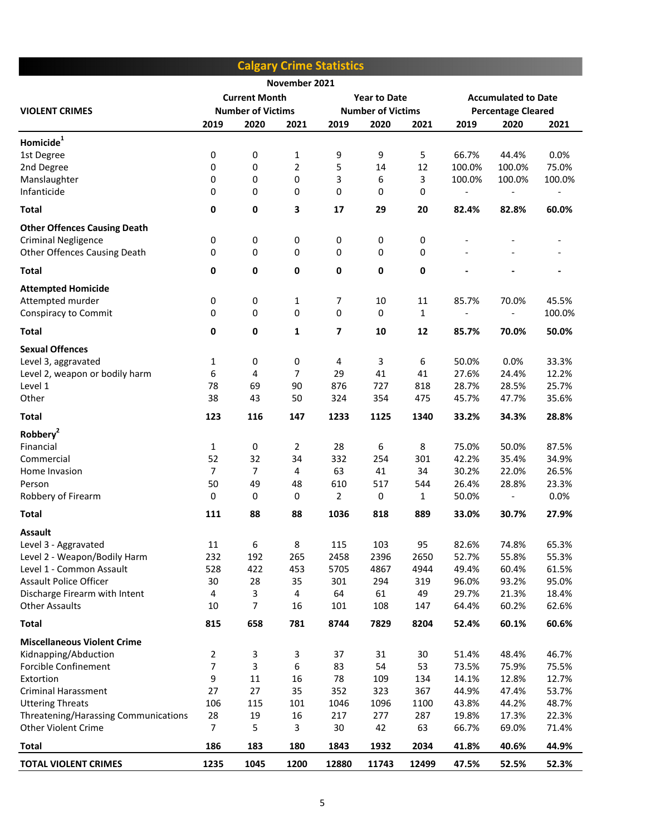|                                                            |                |                          |                | <b>Calgary Crime Statistics</b> |                          |              |                           |                            |                |
|------------------------------------------------------------|----------------|--------------------------|----------------|---------------------------------|--------------------------|--------------|---------------------------|----------------------------|----------------|
|                                                            |                |                          | November 2021  |                                 |                          |              |                           |                            |                |
|                                                            |                | <b>Current Month</b>     |                |                                 | <b>Year to Date</b>      |              |                           | <b>Accumulated to Date</b> |                |
| <b>VIOLENT CRIMES</b>                                      |                | <b>Number of Victims</b> |                |                                 | <b>Number of Victims</b> |              | <b>Percentage Cleared</b> |                            |                |
|                                                            | 2019           | 2020                     | 2021           | 2019                            | 2020                     | 2021         | 2019                      | 2020                       | 2021           |
| Homicide <sup>1</sup>                                      |                |                          |                |                                 |                          |              |                           |                            |                |
| 1st Degree                                                 | 0              | 0                        | $\mathbf{1}$   | 9                               | 9                        | 5            | 66.7%                     | 44.4%                      | 0.0%           |
| 2nd Degree                                                 | 0              | 0                        | $\overline{2}$ | 5                               | 14                       | 12           | 100.0%                    | 100.0%                     | 75.0%          |
| Manslaughter                                               | 0              | 0                        | 0              | 3                               | 6                        | 3            | 100.0%                    | 100.0%                     | 100.0%         |
| Infanticide                                                | 0              | 0                        | 0              | 0                               | 0                        | 0            | $\overline{\phantom{a}}$  |                            |                |
| <b>Total</b>                                               | 0              | $\pmb{0}$                | 3              | 17                              | 29                       | 20           | 82.4%                     | 82.8%                      | 60.0%          |
| <b>Other Offences Causing Death</b>                        |                |                          |                |                                 |                          |              |                           |                            |                |
| <b>Criminal Negligence</b>                                 | 0              | 0                        | 0              | 0                               | 0                        | 0            |                           |                            |                |
| Other Offences Causing Death                               | 0              | 0                        | 0              | 0                               | 0                        | $\pmb{0}$    |                           |                            |                |
|                                                            |                |                          |                |                                 |                          | $\mathbf 0$  |                           |                            |                |
| <b>Total</b>                                               | 0              | 0                        | 0              | 0                               | 0                        |              |                           |                            |                |
| <b>Attempted Homicide</b>                                  |                |                          |                |                                 |                          |              |                           |                            |                |
| Attempted murder                                           | 0              | 0                        | 1              | 7                               | 10                       | 11           | 85.7%                     | 70.0%                      | 45.5%          |
| Conspiracy to Commit                                       | 0              | 0                        | $\mathbf 0$    | 0                               | 0                        | $\mathbf{1}$ |                           |                            | 100.0%         |
| <b>Total</b>                                               | 0              | 0                        | 1              | 7                               | 10                       | 12           | 85.7%                     | 70.0%                      | 50.0%          |
| <b>Sexual Offences</b>                                     |                |                          |                |                                 |                          |              |                           |                            |                |
| Level 3, aggravated                                        | 1              | 0                        | 0              | 4                               | 3                        | 6            | 50.0%                     | 0.0%                       | 33.3%          |
| Level 2, weapon or bodily harm                             | 6              | 4                        | 7              | 29                              | 41                       | 41           | 27.6%                     | 24.4%                      | 12.2%          |
| Level 1                                                    | 78             | 69                       | 90             | 876                             | 727                      | 818          | 28.7%                     | 28.5%                      | 25.7%          |
| Other                                                      | 38             | 43                       | 50             | 324                             | 354                      | 475          | 45.7%                     | 47.7%                      | 35.6%          |
| <b>Total</b>                                               | 123            | 116                      | 147            | 1233                            | 1125                     | 1340         | 33.2%                     | 34.3%                      | 28.8%          |
| Robbery <sup>2</sup>                                       |                |                          |                |                                 |                          |              |                           |                            |                |
| Financial                                                  | 1              | $\pmb{0}$                | 2              | 28                              | 6                        | 8            | 75.0%                     | 50.0%                      | 87.5%          |
| Commercial                                                 | 52             | 32                       | 34             | 332                             | 254                      | 301          | 42.2%                     | 35.4%                      | 34.9%          |
| Home Invasion                                              | $\overline{7}$ | $\overline{7}$           | 4              | 63                              | 41                       | 34           | 30.2%                     | 22.0%                      | 26.5%          |
| Person                                                     | 50             | 49                       | 48             | 610                             | 517                      | 544          | 26.4%                     | 28.8%                      | 23.3%          |
| Robbery of Firearm                                         | 0              | $\pmb{0}$                | 0              | 2                               | 0                        | 1            | 50.0%                     |                            | 0.0%           |
| <b>Total</b>                                               | 111            | 88                       | 88             | 1036                            | 818                      | 889          | 33.0%                     | 30.7%                      | 27.9%          |
| <b>Assault</b>                                             |                |                          |                |                                 |                          |              |                           |                            |                |
| Level 3 - Aggravated                                       | 11             | 6                        | 8              | 115                             | 103                      | 95           | 82.6%                     | 74.8%                      | 65.3%          |
| Level 2 - Weapon/Bodily Harm                               | 232            | 192                      | 265            | 2458                            | 2396                     | 2650         | 52.7%                     | 55.8%                      | 55.3%          |
| Level 1 - Common Assault<br><b>Assault Police Officer</b>  | 528<br>30      | 422<br>28                | 453<br>35      | 5705<br>301                     | 4867                     | 4944         | 49.4%                     | 60.4%                      | 61.5%<br>95.0% |
| Discharge Firearm with Intent                              | 4              | 3                        | 4              | 64                              | 294<br>61                | 319<br>49    | 96.0%<br>29.7%            | 93.2%<br>21.3%             | 18.4%          |
| <b>Other Assaults</b>                                      | 10             | 7                        | 16             | 101                             | 108                      | 147          | 64.4%                     | 60.2%                      | 62.6%          |
| <b>Total</b>                                               | 815            | 658                      | 781            | 8744                            | 7829                     | 8204         | 52.4%                     | 60.1%                      | 60.6%          |
|                                                            |                |                          |                |                                 |                          |              |                           |                            |                |
| <b>Miscellaneous Violent Crime</b><br>Kidnapping/Abduction | $\overline{2}$ | 3                        | 3              | 37                              | 31                       | 30           | 51.4%                     | 48.4%                      | 46.7%          |
| Forcible Confinement                                       | $\overline{7}$ | 3                        | 6              | 83                              | 54                       | 53           | 73.5%                     | 75.9%                      | 75.5%          |
| Extortion                                                  | 9              | 11                       | 16             | 78                              | 109                      | 134          | 14.1%                     | 12.8%                      | 12.7%          |
| <b>Criminal Harassment</b>                                 | 27             | 27                       | 35             | 352                             | 323                      | 367          | 44.9%                     | 47.4%                      | 53.7%          |
| <b>Uttering Threats</b>                                    | 106            | 115                      | 101            | 1046                            | 1096                     | 1100         | 43.8%                     | 44.2%                      | 48.7%          |
| Threatening/Harassing Communications                       | 28             | 19                       | 16             | 217                             | 277                      | 287          | 19.8%                     | 17.3%                      | 22.3%          |
| <b>Other Violent Crime</b>                                 | $\overline{7}$ | 5                        | 3              | 30                              | 42                       | 63           | 66.7%                     | 69.0%                      | 71.4%          |
| Total                                                      | 186            | 183                      | 180            | 1843                            | 1932                     | 2034         | 41.8%                     | 40.6%                      | 44.9%          |
| <b>TOTAL VIOLENT CRIMES</b>                                | 1235           | 1045                     | 1200           | 12880                           | 11743                    | 12499        | 47.5%                     | 52.5%                      | 52.3%          |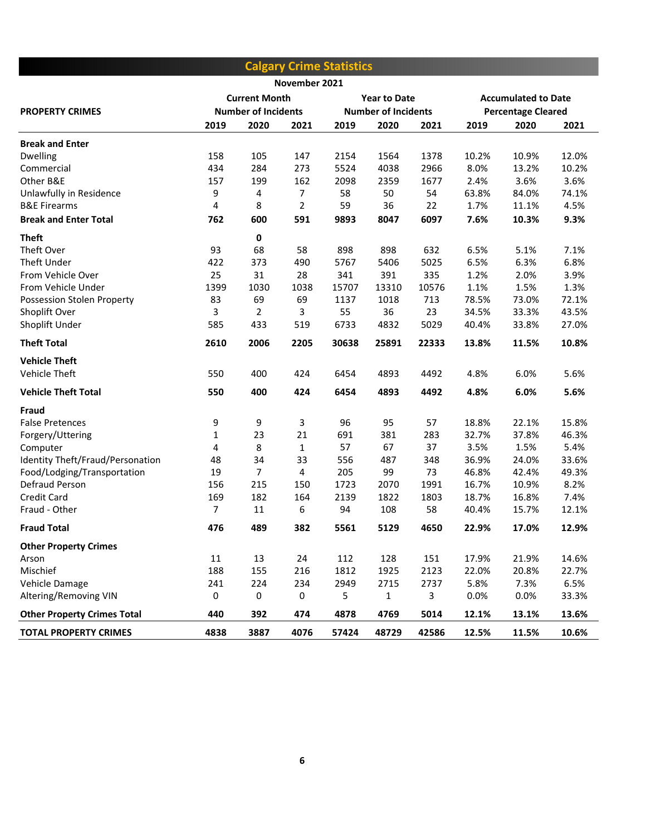|                                    |      |                            |               | <b>Calgary Crime Statistics</b> |                     |       |                            |       |       |
|------------------------------------|------|----------------------------|---------------|---------------------------------|---------------------|-------|----------------------------|-------|-------|
|                                    |      |                            | November 2021 |                                 |                     |       |                            |       |       |
|                                    |      | <b>Current Month</b>       |               |                                 | <b>Year to Date</b> |       | <b>Accumulated to Date</b> |       |       |
| <b>PROPERTY CRIMES</b>             |      | <b>Number of Incidents</b> |               | <b>Number of Incidents</b>      |                     |       | <b>Percentage Cleared</b>  |       |       |
|                                    | 2019 | 2020                       | 2021          | 2019                            | 2020                | 2021  | 2019                       | 2020  | 2021  |
| <b>Break and Enter</b>             |      |                            |               |                                 |                     |       |                            |       |       |
| <b>Dwelling</b>                    | 158  | 105                        | 147           | 2154                            | 1564                | 1378  | 10.2%                      | 10.9% | 12.0% |
| Commercial                         | 434  | 284                        | 273           | 5524                            | 4038                | 2966  | 8.0%                       | 13.2% | 10.2% |
| Other B&E                          | 157  | 199                        | 162           | 2098                            | 2359                | 1677  | 2.4%                       | 3.6%  | 3.6%  |
| Unlawfully in Residence            | 9    | 4                          | 7             | 58                              | 50                  | 54    | 63.8%                      | 84.0% | 74.1% |
| <b>B&amp;E Firearms</b>            | 4    | 8                          | 2             | 59                              | 36                  | 22    | 1.7%                       | 11.1% | 4.5%  |
| <b>Break and Enter Total</b>       | 762  | 600                        | 591           | 9893                            | 8047                | 6097  | 7.6%                       | 10.3% | 9.3%  |
| <b>Theft</b>                       |      | 0                          |               |                                 |                     |       |                            |       |       |
| Theft Over                         | 93   | 68                         | 58            | 898                             | 898                 | 632   | 6.5%                       | 5.1%  | 7.1%  |
| Theft Under                        | 422  | 373                        | 490           | 5767                            | 5406                | 5025  | 6.5%                       | 6.3%  | 6.8%  |
| From Vehicle Over                  | 25   | 31                         | 28            | 341                             | 391                 | 335   | 1.2%                       | 2.0%  | 3.9%  |
| From Vehicle Under                 | 1399 | 1030                       | 1038          | 15707                           | 13310               | 10576 | 1.1%                       | 1.5%  | 1.3%  |
| Possession Stolen Property         | 83   | 69                         | 69            | 1137                            | 1018                | 713   | 78.5%                      | 73.0% | 72.1% |
| Shoplift Over                      | 3    | $\overline{2}$             | 3             | 55                              | 36                  | 23    | 34.5%                      | 33.3% | 43.5% |
| Shoplift Under                     | 585  | 433                        | 519           | 6733                            | 4832                | 5029  | 40.4%                      | 33.8% | 27.0% |
| <b>Theft Total</b>                 | 2610 | 2006                       | 2205          | 30638                           | 25891               | 22333 | 13.8%                      | 11.5% | 10.8% |
| <b>Vehicle Theft</b>               |      |                            |               |                                 |                     |       |                            |       |       |
| Vehicle Theft                      | 550  | 400                        | 424           | 6454                            | 4893                | 4492  | 4.8%                       | 6.0%  | 5.6%  |
| <b>Vehicle Theft Total</b>         | 550  | 400                        | 424           | 6454                            | 4893                | 4492  | 4.8%                       | 6.0%  | 5.6%  |
| Fraud                              |      |                            |               |                                 |                     |       |                            |       |       |
| <b>False Pretences</b>             | 9    | 9                          | 3             | 96                              | 95                  | 57    | 18.8%                      | 22.1% | 15.8% |
| Forgery/Uttering                   | 1    | 23                         | 21            | 691                             | 381                 | 283   | 32.7%                      | 37.8% | 46.3% |
| Computer                           | 4    | 8                          | 1             | 57                              | 67                  | 37    | 3.5%                       | 1.5%  | 5.4%  |
| Identity Theft/Fraud/Personation   | 48   | 34                         | 33            | 556                             | 487                 | 348   | 36.9%                      | 24.0% | 33.6% |
| Food/Lodging/Transportation        | 19   | $\overline{7}$             | 4             | 205                             | 99                  | 73    | 46.8%                      | 42.4% | 49.3% |
| Defraud Person                     | 156  | 215                        | 150           | 1723                            | 2070                | 1991  | 16.7%                      | 10.9% | 8.2%  |
| <b>Credit Card</b>                 | 169  | 182                        | 164           | 2139                            | 1822                | 1803  | 18.7%                      | 16.8% | 7.4%  |
| Fraud - Other                      | 7    | 11                         | 6             | 94                              | 108                 | 58    | 40.4%                      | 15.7% | 12.1% |
| <b>Fraud Total</b>                 | 476  | 489                        | 382           | 5561                            | 5129                | 4650  | 22.9%                      | 17.0% | 12.9% |
| <b>Other Property Crimes</b>       |      |                            |               |                                 |                     |       |                            |       |       |
| Arson                              | 11   | 13                         | 24            | 112                             | 128                 | 151   | 17.9%                      | 21.9% | 14.6% |
| Mischief                           | 188  | 155                        | 216           | 1812                            | 1925                | 2123  | 22.0%                      | 20.8% | 22.7% |
| Vehicle Damage                     | 241  | 224                        | 234           | 2949                            | 2715                | 2737  | 5.8%                       | 7.3%  | 6.5%  |
| Altering/Removing VIN              | 0    | 0                          | 0             | 5                               | 1                   | 3     | 0.0%                       | 0.0%  | 33.3% |
| <b>Other Property Crimes Total</b> | 440  | 392                        | 474           | 4878                            | 4769                | 5014  | 12.1%                      | 13.1% | 13.6% |
| <b>TOTAL PROPERTY CRIMES</b>       | 4838 | 3887                       | 4076          | 57424                           | 48729               | 42586 | 12.5%                      | 11.5% | 10.6% |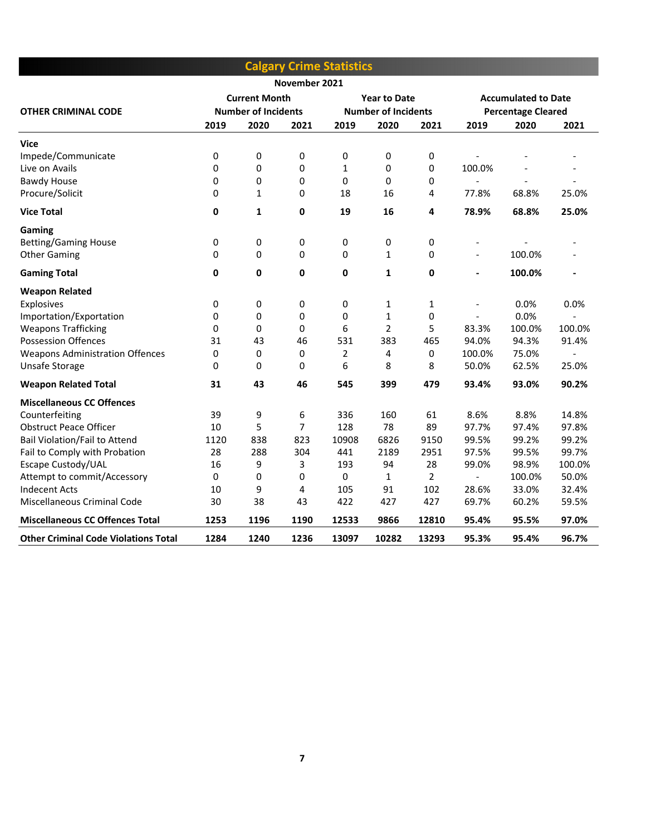|                                             |                            |                      |               | <b>Calgary Crime Statistics</b> |                            |                |                          |                            |                |
|---------------------------------------------|----------------------------|----------------------|---------------|---------------------------------|----------------------------|----------------|--------------------------|----------------------------|----------------|
|                                             |                            |                      | November 2021 |                                 |                            |                |                          |                            |                |
|                                             |                            | <b>Current Month</b> |               |                                 | <b>Year to Date</b>        |                |                          | <b>Accumulated to Date</b> |                |
| <b>OTHER CRIMINAL CODE</b>                  | <b>Number of Incidents</b> |                      |               |                                 | <b>Number of Incidents</b> |                |                          | <b>Percentage Cleared</b>  |                |
|                                             | 2019                       | 2020                 | 2021          | 2019                            | 2020                       | 2021           | 2019                     | 2020                       | 2021           |
| Vice                                        |                            |                      |               |                                 |                            |                |                          |                            |                |
| Impede/Communicate                          | 0                          | 0                    | 0             | 0                               | 0                          | 0              |                          |                            |                |
| Live on Avails                              | 0                          | 0                    | 0             | 1                               | 0                          | 0              | 100.0%                   |                            |                |
| <b>Bawdy House</b>                          | 0                          | 0                    | 0             | 0                               | $\Omega$                   | 0              | $\overline{\phantom{a}}$ | $\overline{a}$             | $\overline{a}$ |
| Procure/Solicit                             | 0                          | 1                    | 0             | 18                              | 16                         | 4              | 77.8%                    | 68.8%                      | 25.0%          |
| <b>Vice Total</b>                           | $\mathbf 0$                | 1                    | 0             | 19                              | 16                         | 4              | 78.9%                    | 68.8%                      | 25.0%          |
| Gaming                                      |                            |                      |               |                                 |                            |                |                          |                            |                |
| <b>Betting/Gaming House</b>                 | 0                          | 0                    | 0             | 0                               | 0                          | 0              | $\overline{\phantom{a}}$ |                            |                |
| <b>Other Gaming</b>                         | 0                          | 0                    | 0             | 0                               | $\mathbf{1}$               | 0              | $\overline{a}$           | 100.0%                     |                |
| <b>Gaming Total</b>                         | 0                          | 0                    | 0             | 0                               | 1                          | 0              | $\overline{\phantom{0}}$ | 100.0%                     | $\overline{a}$ |
| <b>Weapon Related</b>                       |                            |                      |               |                                 |                            |                |                          |                            |                |
| <b>Explosives</b>                           | 0                          | 0                    | 0             | 0                               | $\mathbf{1}$               | 1              | $\overline{a}$           | 0.0%                       | 0.0%           |
| Importation/Exportation                     | 0                          | 0                    | 0             | 0                               | $\mathbf{1}$               | 0              | $\overline{\phantom{a}}$ | 0.0%                       |                |
| <b>Weapons Trafficking</b>                  | 0                          | 0                    | 0             | 6                               | $\overline{2}$             | 5              | 83.3%                    | 100.0%                     | 100.0%         |
| <b>Possession Offences</b>                  | 31                         | 43                   | 46            | 531                             | 383                        | 465            | 94.0%                    | 94.3%                      | 91.4%          |
| <b>Weapons Administration Offences</b>      | 0                          | 0                    | 0             | 2                               | 4                          | 0              | 100.0%                   | 75.0%                      |                |
| Unsafe Storage                              | 0                          | 0                    | 0             | 6                               | 8                          | 8              | 50.0%                    | 62.5%                      | 25.0%          |
| <b>Weapon Related Total</b>                 | 31                         | 43                   | 46            | 545                             | 399                        | 479            | 93.4%                    | 93.0%                      | 90.2%          |
| <b>Miscellaneous CC Offences</b>            |                            |                      |               |                                 |                            |                |                          |                            |                |
| Counterfeiting                              | 39                         | 9                    | 6             | 336                             | 160                        | 61             | 8.6%                     | 8.8%                       | 14.8%          |
| <b>Obstruct Peace Officer</b>               | 10                         | 5                    | 7             | 128                             | 78                         | 89             | 97.7%                    | 97.4%                      | 97.8%          |
| <b>Bail Violation/Fail to Attend</b>        | 1120                       | 838                  | 823           | 10908                           | 6826                       | 9150           | 99.5%                    | 99.2%                      | 99.2%          |
| Fail to Comply with Probation               | 28                         | 288                  | 304           | 441                             | 2189                       | 2951           | 97.5%                    | 99.5%                      | 99.7%          |
| Escape Custody/UAL                          | 16                         | 9                    | 3             | 193                             | 94                         | 28             | 99.0%                    | 98.9%                      | 100.0%         |
| Attempt to commit/Accessory                 | 0                          | 0                    | 0             | 0                               | 1                          | $\overline{2}$ | $\overline{a}$           | 100.0%                     | 50.0%          |
| <b>Indecent Acts</b>                        | 10                         | 9                    | 4             | 105                             | 91                         | 102            | 28.6%                    | 33.0%                      | 32.4%          |
| Miscellaneous Criminal Code                 | 30                         | 38                   | 43            | 422                             | 427                        | 427            | 69.7%                    | 60.2%                      | 59.5%          |
| <b>Miscellaneous CC Offences Total</b>      | 1253                       | 1196                 | 1190          | 12533                           | 9866                       | 12810          | 95.4%                    | 95.5%                      | 97.0%          |
| <b>Other Criminal Code Violations Total</b> | 1284                       | 1240                 | 1236          | 13097                           | 10282                      | 13293          | 95.3%                    | 95.4%                      | 96.7%          |